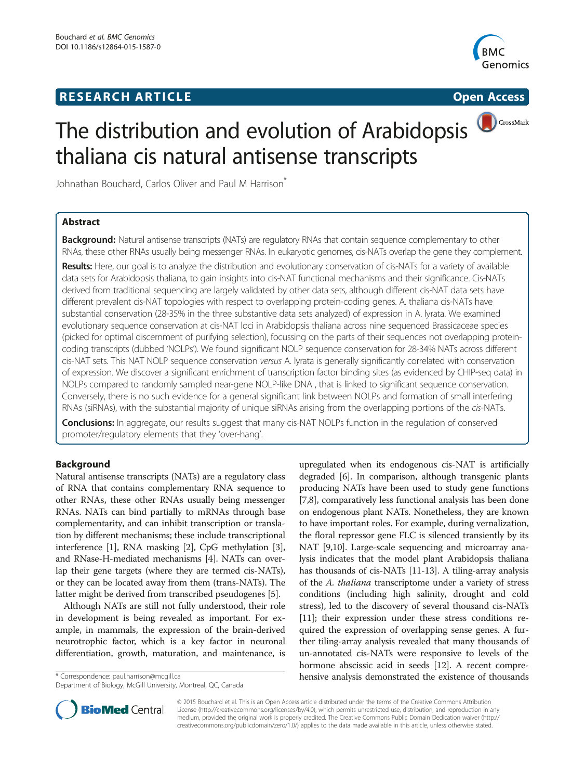## **RESEARCH ARTICLE Example 2014 CONSIDERING A RESEARCH ARTICLE**



CrossMark

# The distribution and evolution of Arabidopsis thaliana cis natural antisense transcripts

Johnathan Bouchard, Carlos Oliver and Paul M Harrison<sup>®</sup>

### Abstract

Background: Natural antisense transcripts (NATs) are regulatory RNAs that contain sequence complementary to other RNAs, these other RNAs usually being messenger RNAs. In eukaryotic genomes, cis-NATs overlap the gene they complement.

Results: Here, our goal is to analyze the distribution and evolutionary conservation of cis-NATs for a variety of available data sets for Arabidopsis thaliana, to gain insights into cis-NAT functional mechanisms and their significance. Cis-NATs derived from traditional sequencing are largely validated by other data sets, although different cis-NAT data sets have different prevalent cis-NAT topologies with respect to overlapping protein-coding genes. A. thaliana cis-NATs have substantial conservation (28-35% in the three substantive data sets analyzed) of expression in A. lyrata. We examined evolutionary sequence conservation at cis-NAT loci in Arabidopsis thaliana across nine sequenced Brassicaceae species (picked for optimal discernment of purifying selection), focussing on the parts of their sequences not overlapping proteincoding transcripts (dubbed 'NOLPs'). We found significant NOLP sequence conservation for 28-34% NATs across different cis-NAT sets. This NAT NOLP sequence conservation versus A. lyrata is generally significantly correlated with conservation of expression. We discover a significant enrichment of transcription factor binding sites (as evidenced by CHIP-seq data) in NOLPs compared to randomly sampled near-gene NOLP-like DNA , that is linked to significant sequence conservation. Conversely, there is no such evidence for a general significant link between NOLPs and formation of small interfering RNAs (siRNAs), with the substantial majority of unique siRNAs arising from the overlapping portions of the cis-NATs.

**Conclusions:** In aggregate, our results suggest that many cis-NAT NOLPs function in the regulation of conserved promoter/regulatory elements that they 'over-hang'.

### Background

Natural antisense transcripts (NATs) are a regulatory class of RNA that contains complementary RNA sequence to other RNAs, these other RNAs usually being messenger RNAs. NATs can bind partially to mRNAs through base complementarity, and can inhibit transcription or translation by different mechanisms; these include transcriptional interference [\[1](#page-7-0)], RNA masking [\[2](#page-7-0)], CpG methylation [[3](#page-7-0)], and RNase-H-mediated mechanisms [\[4\]](#page-7-0). NATs can overlap their gene targets (where they are termed cis-NATs), or they can be located away from them (trans-NATs). The latter might be derived from transcribed pseudogenes [[5\]](#page-7-0).

Although NATs are still not fully understood, their role in development is being revealed as important. For example, in mammals, the expression of the brain-derived neurotrophic factor, which is a key factor in neuronal differentiation, growth, maturation, and maintenance, is

Department of Biology, McGill University, Montreal, QC, Canada

upregulated when its endogenous cis-NAT is artificially degraded [[6](#page-7-0)]. In comparison, although transgenic plants producing NATs have been used to study gene functions [[7,8](#page-7-0)], comparatively less functional analysis has been done on endogenous plant NATs. Nonetheless, they are known to have important roles. For example, during vernalization, the floral repressor gene FLC is silenced transiently by its NAT [[9,10](#page-8-0)]. Large-scale sequencing and microarray analysis indicates that the model plant Arabidopsis thaliana has thousands of cis-NATs [[11](#page-8-0)-[13](#page-8-0)]. A tiling-array analysis of the A. thaliana transcriptome under a variety of stress conditions (including high salinity, drought and cold stress), led to the discovery of several thousand cis-NATs [[11](#page-8-0)]; their expression under these stress conditions required the expression of overlapping sense genes. A further tiling-array analysis revealed that many thousands of un-annotated cis-NATs were responsive to levels of the hormone abscissic acid in seeds [\[12\]](#page-8-0). A recent compre- \* Correspondence: [paul.harrison@mcgill.ca](mailto:paul.harrison@mcgill.ca) hensive analysis demonstrated the existence of thousands



© 2015 Bouchard et al. This is an Open Access article distributed under the terms of the Creative Commons Attribution License (<http://creativecommons.org/licenses/by/4.0>), which permits unrestricted use, distribution, and reproduction in any medium, provided the original work is properly credited. The Creative Commons Public Domain Dedication waiver [\(http://](http://creativecommons.org/publicdomain/zero/1.0/) [creativecommons.org/publicdomain/zero/1.0/\)](http://creativecommons.org/publicdomain/zero/1.0/) applies to the data made available in this article, unless otherwise stated.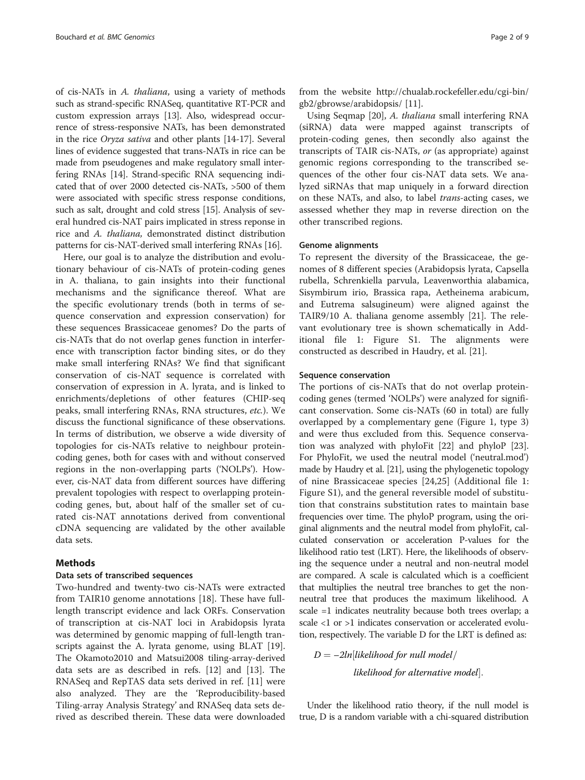<span id="page-1-0"></span>of cis-NATs in A. thaliana, using a variety of methods such as strand-specific RNASeq, quantitative RT-PCR and custom expression arrays [\[13\]](#page-8-0). Also, widespread occurrence of stress-responsive NATs, has been demonstrated in the rice Oryza sativa and other plants [[14-17](#page-8-0)]. Several lines of evidence suggested that trans-NATs in rice can be made from pseudogenes and make regulatory small interfering RNAs [\[14](#page-8-0)]. Strand-specific RNA sequencing indicated that of over 2000 detected cis-NATs, >500 of them were associated with specific stress response conditions, such as salt, drought and cold stress [\[15](#page-8-0)]. Analysis of several hundred cis-NAT pairs implicated in stress reponse in rice and A. thaliana, demonstrated distinct distribution patterns for cis-NAT-derived small interfering RNAs [\[16](#page-8-0)].

Here, our goal is to analyze the distribution and evolutionary behaviour of cis-NATs of protein-coding genes in A. thaliana, to gain insights into their functional mechanisms and the significance thereof. What are the specific evolutionary trends (both in terms of sequence conservation and expression conservation) for these sequences Brassicaceae genomes? Do the parts of cis-NATs that do not overlap genes function in interference with transcription factor binding sites, or do they make small interfering RNAs? We find that significant conservation of cis-NAT sequence is correlated with conservation of expression in A. lyrata, and is linked to enrichments/depletions of other features (CHIP-seq peaks, small interfering RNAs, RNA structures, etc.). We discuss the functional significance of these observations. In terms of distribution, we observe a wide diversity of topologies for cis-NATs relative to neighbour proteincoding genes, both for cases with and without conserved regions in the non-overlapping parts ('NOLPs'). However, cis-NAT data from different sources have differing prevalent topologies with respect to overlapping proteincoding genes, but, about half of the smaller set of curated cis-NAT annotations derived from conventional cDNA sequencing are validated by the other available data sets.

#### Methods

#### Data sets of transcribed sequences

Two-hundred and twenty-two cis-NATs were extracted from TAIR10 genome annotations [[18](#page-8-0)]. These have fulllength transcript evidence and lack ORFs. Conservation of transcription at cis-NAT loci in Arabidopsis lyrata was determined by genomic mapping of full-length transcripts against the A. lyrata genome, using BLAT [\[19](#page-8-0)]. The Okamoto2010 and Matsui2008 tiling-array-derived data sets are as described in refs. [[12](#page-8-0)] and [\[13\]](#page-8-0). The RNASeq and RepTAS data sets derived in ref. [[11\]](#page-8-0) were also analyzed. They are the 'Reproducibility-based Tiling-array Analysis Strategy' and RNASeq data sets derived as described therein. These data were downloaded

from the website [http://chualab.rockefeller.edu/cgi-bin/](http://chualab.rockefeller.edu/cgi-bin/gb2/gbrowse/arabidopsis/) [gb2/gbrowse/arabidopsis/](http://chualab.rockefeller.edu/cgi-bin/gb2/gbrowse/arabidopsis/) [[11\]](#page-8-0).

Using Seqmap [\[20](#page-8-0)], A. thaliana small interfering RNA (siRNA) data were mapped against transcripts of protein-coding genes, then secondly also against the transcripts of TAIR cis-NATs, or (as appropriate) against genomic regions corresponding to the transcribed sequences of the other four cis-NAT data sets. We analyzed siRNAs that map uniquely in a forward direction on these NATs, and also, to label trans-acting cases, we assessed whether they map in reverse direction on the other transcribed regions.

#### Genome alignments

To represent the diversity of the Brassicaceae, the genomes of 8 different species (Arabidopsis lyrata, Capsella rubella, Schrenkiella parvula, Leavenworthia alabamica, Sisymbirum irio, Brassica rapa, Aetheinema arabicum, and Eutrema salsugineum) were aligned against the TAIR9/10 A. thaliana genome assembly [\[21\]](#page-8-0). The relevant evolutionary tree is shown schematically in Additional file [1:](#page-7-0) Figure S1. The alignments were constructed as described in Haudry, et al. [[21\]](#page-8-0).

#### Sequence conservation

The portions of cis-NATs that do not overlap proteincoding genes (termed 'NOLPs') were analyzed for significant conservation. Some cis-NATs (60 in total) are fully overlapped by a complementary gene (Figure [1](#page-2-0), type 3) and were thus excluded from this. Sequence conservation was analyzed with phyloFit [[22\]](#page-8-0) and phyloP [\[23](#page-8-0)]. For PhyloFit, we used the neutral model ('neutral.mod') made by Haudry et al. [\[21](#page-8-0)], using the phylogenetic topology of nine Brassicaceae species [[24,25](#page-8-0)] (Additional file [1](#page-7-0): Figure S1), and the general reversible model of substitution that constrains substitution rates to maintain base frequencies over time. The phyloP program, using the original alignments and the neutral model from phyloFit, calculated conservation or acceleration P-values for the likelihood ratio test (LRT). Here, the likelihoods of observing the sequence under a neutral and non-neutral model are compared. A scale is calculated which is a coefficient that multiplies the neutral tree branches to get the nonneutral tree that produces the maximum likelihood. A scale =1 indicates neutrality because both trees overlap; a scale <1 or >1 indicates conservation or accelerated evolution, respectively. The variable D for the LRT is defined as:

 $D = -2ln[likelihood for null model/$  $likelihood for$  alternative model].

Under the likelihood ratio theory, if the null model is true, D is a random variable with a chi-squared distribution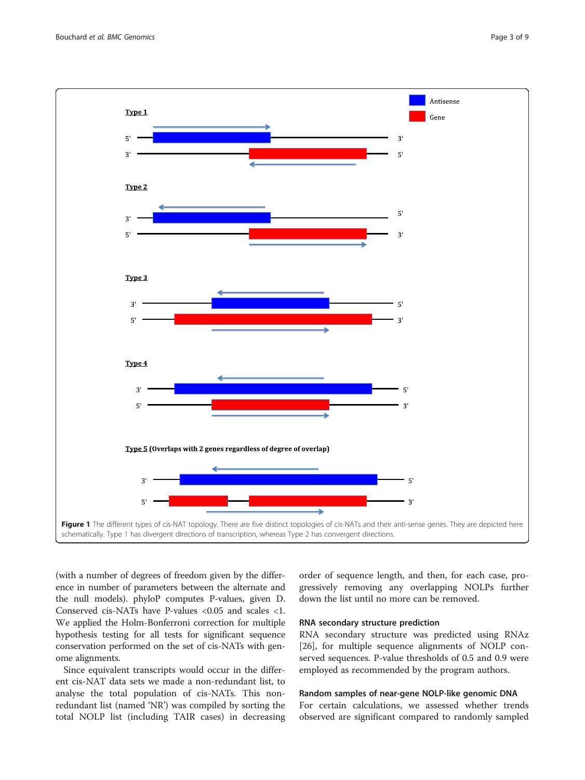<span id="page-2-0"></span>

(with a number of degrees of freedom given by the difference in number of parameters between the alternate and the null models). phyloP computes P-values, given D. Conserved cis-NATs have P-values <0.05 and scales <1. We applied the Holm-Bonferroni correction for multiple hypothesis testing for all tests for significant sequence conservation performed on the set of cis-NATs with genome alignments.

Since equivalent transcripts would occur in the different cis-NAT data sets we made a non-redundant list, to analyse the total population of cis-NATs. This nonredundant list (named 'NR') was compiled by sorting the total NOLP list (including TAIR cases) in decreasing order of sequence length, and then, for each case, progressively removing any overlapping NOLPs further down the list until no more can be removed.

#### RNA secondary structure prediction

RNA secondary structure was predicted using RNAz [[26\]](#page-8-0), for multiple sequence alignments of NOLP conserved sequences. P-value thresholds of 0.5 and 0.9 were employed as recommended by the program authors.

#### Random samples of near-gene NOLP-like genomic DNA

For certain calculations, we assessed whether trends observed are significant compared to randomly sampled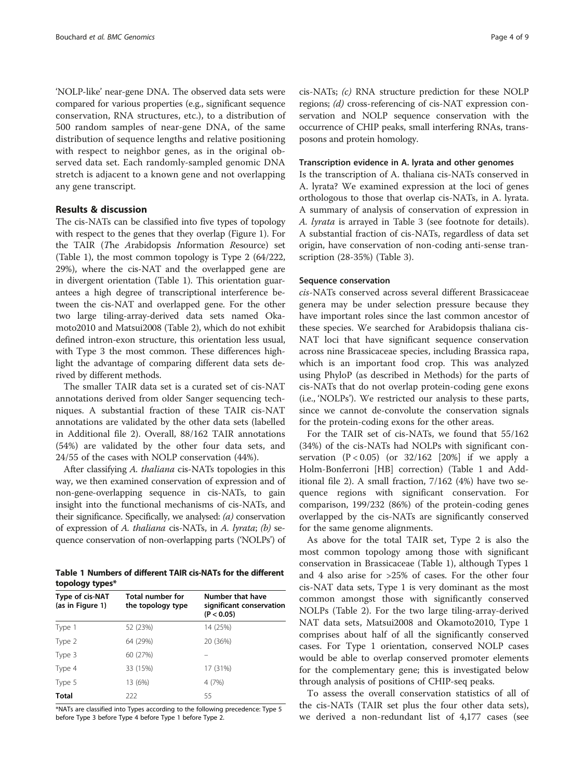<span id="page-3-0"></span>'NOLP-like' near-gene DNA. The observed data sets were compared for various properties (e.g., significant sequence conservation, RNA structures, etc.), to a distribution of 500 random samples of near-gene DNA, of the same distribution of sequence lengths and relative positioning with respect to neighbor genes, as in the original observed data set. Each randomly-sampled genomic DNA stretch is adjacent to a known gene and not overlapping any gene transcript.

#### Results & discussion

The cis-NATs can be classified into five types of topology with respect to the genes that they overlap (Figure [1\)](#page-2-0). For the TAIR (The Arabidopsis Information Resource) set (Table 1), the most common topology is Type 2 (64/222, 29%), where the cis-NAT and the overlapped gene are in divergent orientation (Table 1). This orientation guarantees a high degree of transcriptional interference between the cis-NAT and overlapped gene. For the other two large tiling-array-derived data sets named Okamoto2010 and Matsui2008 (Table [2\)](#page-4-0), which do not exhibit defined intron-exon structure, this orientation less usual, with Type 3 the most common. These differences highlight the advantage of comparing different data sets derived by different methods.

The smaller TAIR data set is a curated set of cis-NAT annotations derived from older Sanger sequencing techniques. A substantial fraction of these TAIR cis-NAT annotations are validated by the other data sets (labelled in Additional file [2\)](#page-7-0). Overall, 88/162 TAIR annotations (54%) are validated by the other four data sets, and 24/55 of the cases with NOLP conservation (44%).

After classifying A. thaliana cis-NATs topologies in this way, we then examined conservation of expression and of non-gene-overlapping sequence in cis-NATs, to gain insight into the functional mechanisms of cis-NATs, and their significance. Specifically, we analysed:  $(a)$  conservation of expression of A. thaliana cis-NATs, in A. lyrata; (b) sequence conservation of non-overlapping parts ('NOLPs') of

| Table 1 Numbers of different TAIR cis-NATs for the different |  |  |  |
|--------------------------------------------------------------|--|--|--|
| topology types*                                              |  |  |  |

| Type of cis-NAT<br>(as in Figure 1) | Total number for<br>the topology type | Number that have<br>significant conservation<br>(P < 0.05) |  |
|-------------------------------------|---------------------------------------|------------------------------------------------------------|--|
| Type 1                              | 52 (23%)                              | 14 (25%)                                                   |  |
| Type 2                              | 64 (29%)                              | 20 (36%)                                                   |  |
| Type 3                              | 60 (27%)                              |                                                            |  |
| Type 4                              | 33 (15%)                              | 17 (31%)                                                   |  |
| Type 5                              | 13 (6%)                               | 4(7%)                                                      |  |
| <b>Total</b>                        | 222                                   | 55                                                         |  |

\*NATs are classified into Types according to the following precedence: Type 5 before Type 3 before Type 4 before Type 1 before Type 2.

cis-NATs; (c) RNA structure prediction for these NOLP regions; (d) cross-referencing of cis-NAT expression conservation and NOLP sequence conservation with the occurrence of CHIP peaks, small interfering RNAs, transposons and protein homology.

#### Transcription evidence in A. lyrata and other genomes

Is the transcription of A. thaliana cis-NATs conserved in A. lyrata? We examined expression at the loci of genes orthologous to those that overlap cis-NATs, in A. lyrata. A summary of analysis of conservation of expression in A. lyrata is arrayed in Table [3](#page-5-0) (see footnote for details). A substantial fraction of cis-NATs, regardless of data set origin, have conservation of non-coding anti-sense transcription (28-35%) (Table [3](#page-5-0)).

#### Sequence conservation

cis-NATs conserved across several different Brassicaceae genera may be under selection pressure because they have important roles since the last common ancestor of these species. We searched for Arabidopsis thaliana cis-NAT loci that have significant sequence conservation across nine Brassicaceae species, including Brassica rapa, which is an important food crop. This was analyzed using PhyloP (as described in [Methods\)](#page-1-0) for the parts of cis-NATs that do not overlap protein-coding gene exons (i.e., 'NOLPs'). We restricted our analysis to these parts, since we cannot de-convolute the conservation signals for the protein-coding exons for the other areas.

For the TAIR set of cis-NATs, we found that 55/162 (34%) of the cis-NATs had NOLPs with significant conservation  $(P < 0.05)$  (or 32/162 [20%] if we apply a Holm-Bonferroni [HB] correction) (Table 1 and Additional file [2](#page-7-0)). A small fraction, 7/162 (4%) have two sequence regions with significant conservation. For comparison, 199/232 (86%) of the protein-coding genes overlapped by the cis-NATs are significantly conserved for the same genome alignments.

As above for the total TAIR set, Type 2 is also the most common topology among those with significant conservation in Brassicaceae (Table 1), although Types 1 and 4 also arise for >25% of cases. For the other four cis-NAT data sets, Type 1 is very dominant as the most common amongst those with significantly conserved NOLPs (Table [2\)](#page-4-0). For the two large tiling-array-derived NAT data sets, Matsui2008 and Okamoto2010, Type 1 comprises about half of all the significantly conserved cases. For Type 1 orientation, conserved NOLP cases would be able to overlap conserved promoter elements for the complementary gene; this is investigated below through analysis of positions of CHIP-seq peaks.

To assess the overall conservation statistics of all of the cis-NATs (TAIR set plus the four other data sets), we derived a non-redundant list of 4,177 cases (see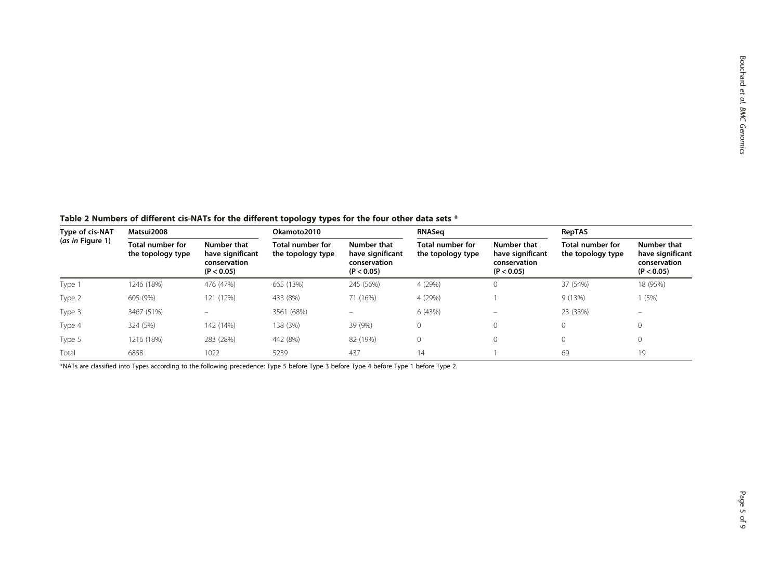<span id="page-4-0"></span>Table 2 Numbers of different cis-NATs for the different topology types for the four other data sets \*

| Type of cis-NAT<br>(as in Figure 1) | Matsui2008                            |                                                               | Okamoto2010                           |                                                               | <b>RNASeq</b>                                |                                                               | <b>RepTAS</b>                         |                                                               |
|-------------------------------------|---------------------------------------|---------------------------------------------------------------|---------------------------------------|---------------------------------------------------------------|----------------------------------------------|---------------------------------------------------------------|---------------------------------------|---------------------------------------------------------------|
|                                     | Total number for<br>the topology type | Number that<br>have significant<br>conservation<br>(P < 0.05) | Total number for<br>the topology type | Number that<br>have significant<br>conservation<br>(P < 0.05) | <b>Total number for</b><br>the topology type | Number that<br>have significant<br>conservation<br>(P < 0.05) | Total number for<br>the topology type | Number that<br>have significant<br>conservation<br>(P < 0.05) |
| Type 1                              | 1246 (18%)                            | 476 (47%)                                                     | 665 (13%)                             | 245 (56%)                                                     | 4 (29%)                                      | 0                                                             | 37 (54%)                              | 18 (95%)                                                      |
| Type 2                              | 605 (9%)                              | 121 (12%)                                                     | 433 (8%)                              | 71 (16%)                                                      | 4 (29%)                                      |                                                               | 9 (13%)                               | (5%)                                                          |
| Type 3                              | 3467 (51%)                            | $\overline{\phantom{0}}$                                      | 3561 (68%)                            | $\overline{\phantom{0}}$                                      | 6 (43%)                                      | $\qquad \qquad =$                                             | 23 (33%)                              | $\overline{\phantom{a}}$                                      |
| Type 4                              | 324 (5%)                              | 142 (14%)                                                     | 138 (3%)                              | 39 (9%)                                                       | $\mathbf{0}$                                 | 0                                                             | 0                                     |                                                               |
| Type 5                              | 1216 (18%)                            | 283 (28%)                                                     | 442 (8%)                              | 82 (19%)                                                      | 0                                            | 0                                                             | 0                                     |                                                               |
| Total                               | 6858                                  | 1022                                                          | 5239                                  | 437                                                           | 14                                           |                                                               | 69                                    | 19                                                            |

\*NATs are classified into Types according to the following precedence: Type 5 before Type 3 before Type 4 before Type 1 before Type 2.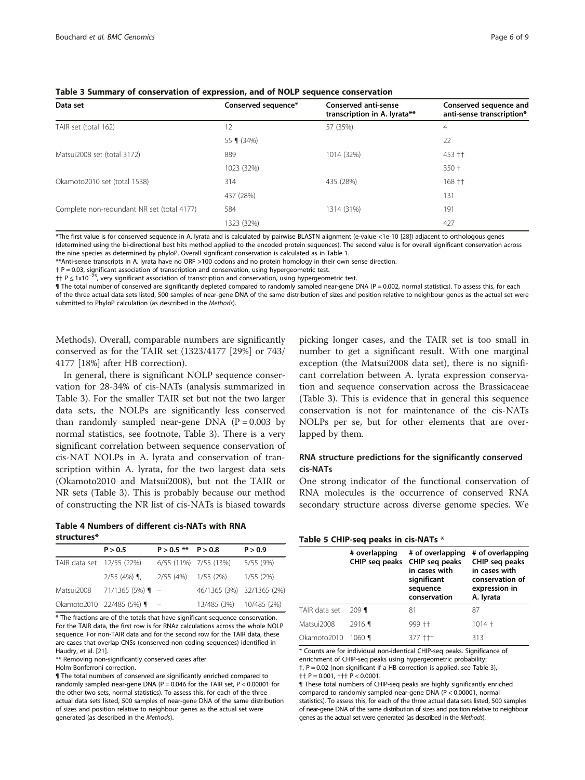| Data set                                   | Conserved sequence* | <b>Conserved anti-sense</b><br>transcription in A. lyrata** | Conserved sequence and<br>anti-sense transcription* |
|--------------------------------------------|---------------------|-------------------------------------------------------------|-----------------------------------------------------|
| TAIR set (total 162)                       | 12                  | 57 (35%)                                                    | $\overline{4}$                                      |
|                                            | 55 $(34%)$          |                                                             | 22                                                  |
| Matsui2008 set (total 3172)                | 889                 | 1014 (32%)                                                  | 453 ++                                              |
|                                            | 1023 (32%)          |                                                             | $350 +$                                             |
| Okamoto2010 set (total 1538)               | 314                 | 435 (28%)                                                   | $168 + 1$                                           |
|                                            | 437 (28%)           |                                                             | 131                                                 |
| Complete non-redundant NR set (total 4177) | 584                 | 1314 (31%)                                                  | 191                                                 |
|                                            | 1323 (32%)          |                                                             | 427                                                 |

<span id="page-5-0"></span>Table 3 Summary of conservation of expression, and of NOLP sequence conservation

\*The first value is for conserved sequence in A. lyrata and is calculated by pairwise BLASTN alignment (e-value <1e-10 [[28\]](#page-8-0)) adjacent to orthologous genes (determined using the bi-directional best hits method applied to the encoded protein sequences). The second value is for overall significant conservation across the nine species as determined by phyloP. Overall significant conservation is calculated as in Table [1.](#page-3-0)

\*\*Anti-sense transcripts in A. lyrata have no ORF >100 codons and no protein homology in their own sense direction.

† P = 0.03, significant association of transcription and conservation, using hypergeometric test.

†† P ≤ 1x10<sup>-25</sup>, very significant association of transcription and conservation, using hypergeometric test.

¶ The total number of conserved are significantly depleted compared to randomly sampled near-gene DNA (P = 0.002, normal statistics). To assess this, for each of the three actual data sets listed, 500 samples of near-gene DNA of the same distribution of sizes and position relative to neighbour genes as the actual set were submitted to PhyloP calculation (as described in the [Methods](#page-1-0)).

[Methods\)](#page-1-0). Overall, comparable numbers are significantly conserved as for the TAIR set (1323/4177 [29%] or 743/ 4177 [18%] after HB correction).

In general, there is significant NOLP sequence conservation for 28-34% of cis-NATs (analysis summarized in Table 3). For the smaller TAIR set but not the two larger data sets, the NOLPs are significantly less conserved than randomly sampled near-gene DNA  $(P = 0.003$  by normal statistics, see footnote, Table 3). There is a very significant correlation between sequence conservation of cis-NAT NOLPs in A. lyrata and conservation of transcription within A. lyrata, for the two largest data sets (Okamoto2010 and Matsui2008), but not the TAIR or NR sets (Table 3). This is probably because our method of constructing the NR list of cis-NATs is biased towards

Table 4 Numbers of different cis-NATs with RNA structures\*

|                           | P > 0.5                 | $P > 0.5$ ** $P > 0.8$ |                           | P > 0.9   |
|---------------------------|-------------------------|------------------------|---------------------------|-----------|
| TAIR data set 12/55 (22%) |                         |                        | 6/55 (11%) 7/55 (13%)     | 5/55 (9%) |
|                           | $2/55$ (4%) $\P$ ,      | 2/55 (4%)              | 1/55 (2%)                 | 1/55(2%)  |
| Matsui2008                | $71/1365(5%)$ ¶ –       |                        | 46/1365 (3%) 32/1365 (2%) |           |
|                           | Okamoto2010 22/485 (5%) |                        | 13/485 (3%) 10/485 (2%)   |           |

\* The fractions are of the totals that have significant sequence conservation. For the TAIR data, the first row is for RNAz calculations across the whole NOLP sequence. For non-TAIR data and for the second row for the TAIR data, these are cases that overlap CNSs (conserved non-coding sequences) identified in Haudry, et al. [[21\]](#page-8-0).

\*\* Removing non-significantly conserved cases after

Holm-Bonferroni correction.

¶ The total numbers of conserved are significantly enriched compared to randomly sampled near-gene DNA (P =  $0.046$  for the TAIR set, P < 0.00001 for the other two sets, normal statistics). To assess this, for each of the three actual data sets listed, 500 samples of near-gene DNA of the same distribution of sizes and position relative to neighbour genes as the actual set were generated (as described in the [Methods](#page-1-0)).

picking longer cases, and the TAIR set is too small in number to get a significant result. With one marginal exception (the Matsui2008 data set), there is no significant correlation between A. lyrata expression conservation and sequence conservation across the Brassicaceae (Table 3). This is evidence that in general this sequence conservation is not for maintenance of the cis-NATs NOLPs per se, but for other elements that are overlapped by them.

### RNA structure predictions for the significantly conserved cis-NATs

One strong indicator of the functional conservation of RNA molecules is the occurrence of conserved RNA secondary structure across diverse genome species. We

#### Table 5 CHIP-seq peaks in cis-NATs \*

|               | # overlapping<br>CHIP seg peaks | # of overlapping<br>CHIP seg peaks<br>in cases with<br>significant<br>sequence<br>conservation | # of overlapping<br>CHIP seg peaks<br>in cases with<br>conservation of<br>expression in<br>A. Iyrata |
|---------------|---------------------------------|------------------------------------------------------------------------------------------------|------------------------------------------------------------------------------------------------------|
| TAIR data set | $209$ ¶                         | 81                                                                                             | 87                                                                                                   |
| Matsui2008    | $2916$ 1                        | 999 ++                                                                                         | $1014 +$                                                                                             |
| Okamoto2010   | $1060$ ¶                        | 377 +++                                                                                        | 313                                                                                                  |

\* Counts are for individual non-identical CHIP-seq peaks. Significance of enrichment of CHIP-seq peaks using hypergeometric probability: †, P = 0.02 (non-significant if a HB correction is applied, see Table 3), †† P = 0.001, ††† P < 0.0001.

¶ These total numbers of CHIP-seq peaks are highly significantly enriched compared to randomly sampled near-gene DNA (P < 0.00001, normal statistics). To assess this, for each of the three actual data sets listed, 500 samples of near-gene DNA of the same distribution of sizes and position relative to neighbour genes as the actual set were generated (as described in the [Methods](#page-1-0)).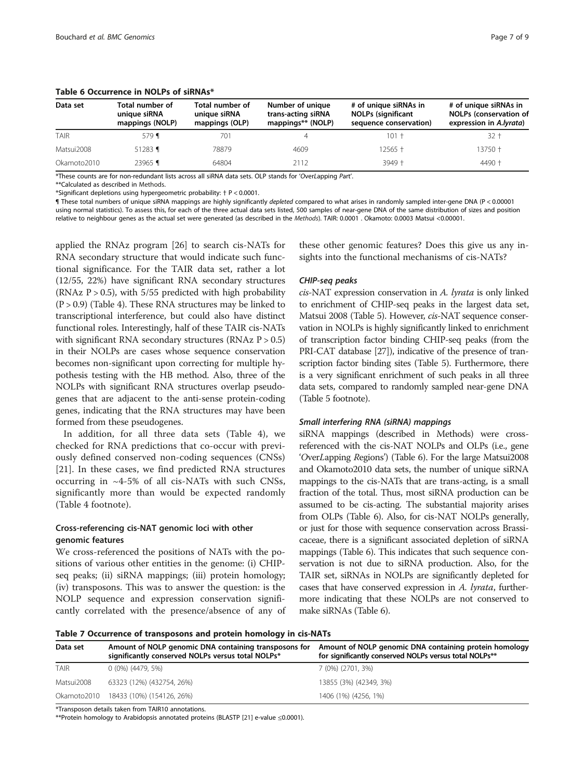| Data set    | Total number of<br>unique siRNA<br>mappings (NOLP) | Total number of<br>unique siRNA<br>mappings (OLP) | Number of unique<br>trans-acting siRNA<br>mappings** (NOLP) | # of unique siRNAs in<br><b>NOLPs (significant</b><br>sequence conservation) | # of unique siRNAs in<br><b>NOLPs (conservation of</b><br>expression in A.lyrata) |
|-------------|----------------------------------------------------|---------------------------------------------------|-------------------------------------------------------------|------------------------------------------------------------------------------|-----------------------------------------------------------------------------------|
| <b>TAIR</b> | $579$ 1                                            | 701                                               |                                                             | $101 +$                                                                      | 32 t                                                                              |
| Matsui2008  | 51283 $\P$                                         | 78879                                             | 4609                                                        | 12565 †                                                                      | 13750 †                                                                           |
| Okamoto2010 | 23965 ¶                                            | 64804                                             | 2112                                                        | $3949 +$                                                                     | $4490 +$                                                                          |

#### <span id="page-6-0"></span>Table 6 Occurrence in NOLPs of siRNAs\*

\*These counts are for non-redundant lists across all siRNA data sets. OLP stands for 'OverLapping Part'.

\*\*Calculated as described in [Methods](#page-1-0).

\*Significant depletions using hypergeometric probability: † P < 0.0001.

¶ These total numbers of unique siRNA mappings are highly significantly depleted compared to what arises in randomly sampled inter-gene DNA (P < 0.00001 using normal statistics). To assess this, for each of the three actual data sets listed, 500 samples of near-gene DNA of the same distribution of sizes and position relative to neighbour genes as the actual set were generated (as described in the [Methods](#page-1-0)). TAIR: 0.0001 . Okamoto: 0.0003 Matsui <0.00001.

applied the RNAz program [[26\]](#page-8-0) to search cis-NATs for RNA secondary structure that would indicate such functional significance. For the TAIR data set, rather a lot (12/55, 22%) have significant RNA secondary structures (RNAz  $P > 0.5$ ), with 5/55 predicted with high probability  $(P > 0.9)$  (Table [4](#page-5-0)). These RNA structures may be linked to transcriptional interference, but could also have distinct functional roles. Interestingly, half of these TAIR cis-NATs with significant RNA secondary structures (RNAz  $P > 0.5$ ) in their NOLPs are cases whose sequence conservation becomes non-significant upon correcting for multiple hypothesis testing with the HB method. Also, three of the NOLPs with significant RNA structures overlap pseudogenes that are adjacent to the anti-sense protein-coding genes, indicating that the RNA structures may have been formed from these pseudogenes.

In addition, for all three data sets (Table [4](#page-5-0)), we checked for RNA predictions that co-occur with previously defined conserved non-coding sequences (CNSs) [[21\]](#page-8-0). In these cases, we find predicted RNA structures occurring in ~4-5% of all cis-NATs with such CNSs, significantly more than would be expected randomly (Table [4](#page-5-0) footnote).

### Cross-referencing cis-NAT genomic loci with other genomic features

We cross-referenced the positions of NATs with the positions of various other entities in the genome: (i) CHIPseq peaks; (ii) siRNA mappings; (iii) protein homology; (iv) transposons. This was to answer the question: is the NOLP sequence and expression conservation significantly correlated with the presence/absence of any of these other genomic features? Does this give us any insights into the functional mechanisms of cis-NATs?

cis-NAT expression conservation in A. lyrata is only linked to enrichment of CHIP-seq peaks in the largest data set, Matsui 2008 (Table [5\)](#page-5-0). However, cis-NAT sequence conservation in NOLPs is highly significantly linked to enrichment of transcription factor binding CHIP-seq peaks (from the PRI-CAT database [\[27\]](#page-8-0)), indicative of the presence of transcription factor binding sites (Table [5](#page-5-0)). Furthermore, there is a very significant enrichment of such peaks in all three data sets, compared to randomly sampled near-gene DNA (Table [5](#page-5-0) footnote).

siRNA mappings (described in [Methods](#page-1-0)) were crossreferenced with the cis-NAT NOLPs and OLPs (i.e., gene 'OverLapping Regions') (Table 6). For the large Matsui2008 and Okamoto2010 data sets, the number of unique siRNA mappings to the cis-NATs that are trans-acting, is a small fraction of the total. Thus, most siRNA production can be assumed to be cis-acting. The substantial majority arises from OLPs (Table 6). Also, for cis-NAT NOLPs generally, or just for those with sequence conservation across Brassicaceae, there is a significant associated depletion of siRNA mappings (Table 6). This indicates that such sequence conservation is not due to siRNA production. Also, for the TAIR set, siRNAs in NOLPs are significantly depleted for cases that have conserved expression in A. lyrata, furthermore indicating that these NOLPs are not conserved to make siRNAs (Table 6).

Table 7 Occurrence of transposons and protein homology in cis-NATs

| Data set    | Amount of NOLP genomic DNA containing transposons for<br>significantly conserved NOLPs versus total NOLPs* | Amount of NOLP genomic DNA containing protein homology<br>for significantly conserved NOLPs versus total NOLPs** |
|-------------|------------------------------------------------------------------------------------------------------------|------------------------------------------------------------------------------------------------------------------|
| <b>TAIR</b> | $0(0\%)(4479, 5\%)$                                                                                        | 7 (0%) (2701, 3%)                                                                                                |
| Matsui2008  | 63323 (12%) (432754, 26%)                                                                                  | 13855 (3%) (42349, 3%)                                                                                           |
|             | Okamoto2010 18433 (10%) (154126, 26%)                                                                      | 1406 (1%) (4256, 1%)                                                                                             |

\*Transposon details taken from TAIR10 annotations.

\*\*Protein homology to Arabidopsis annotated proteins (BLASTP [\[21\]](#page-8-0) e-value ≤0.0001).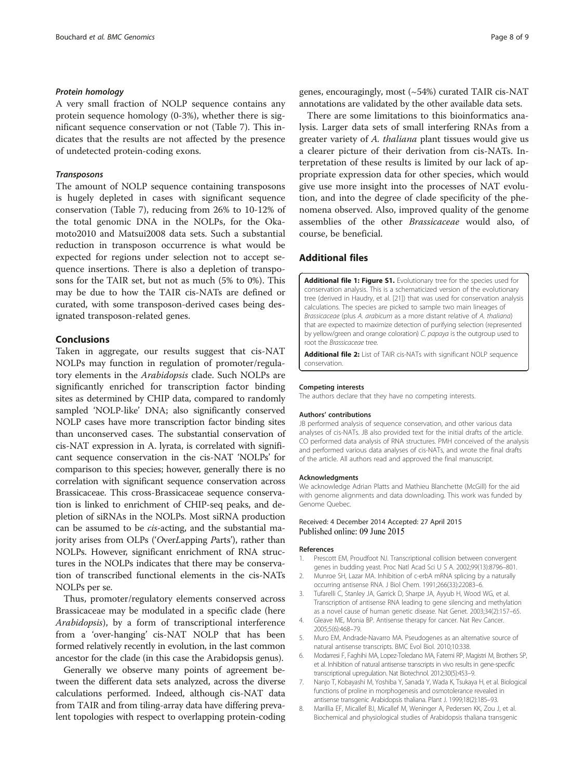<span id="page-7-0"></span>A very small fraction of NOLP sequence contains any protein sequence homology (0-3%), whether there is significant sequence conservation or not (Table [7](#page-6-0)). This indicates that the results are not affected by the presence of undetected protein-coding exons.

The amount of NOLP sequence containing transposons is hugely depleted in cases with significant sequence conservation (Table [7](#page-6-0)), reducing from 26% to 10-12% of the total genomic DNA in the NOLPs, for the Okamoto2010 and Matsui2008 data sets. Such a substantial reduction in transposon occurrence is what would be expected for regions under selection not to accept sequence insertions. There is also a depletion of transposons for the TAIR set, but not as much (5% to 0%). This may be due to how the TAIR cis-NATs are defined or curated, with some transposon-derived cases being designated transposon-related genes.

#### Conclusions

Taken in aggregate, our results suggest that cis-NAT NOLPs may function in regulation of promoter/regulatory elements in the Arabidopsis clade. Such NOLPs are significantly enriched for transcription factor binding sites as determined by CHIP data, compared to randomly sampled 'NOLP-like' DNA; also significantly conserved NOLP cases have more transcription factor binding sites than unconserved cases. The substantial conservation of cis-NAT expression in A. lyrata, is correlated with significant sequence conservation in the cis-NAT 'NOLPs' for comparison to this species; however, generally there is no correlation with significant sequence conservation across Brassicaceae. This cross-Brassicaceae sequence conservation is linked to enrichment of CHIP-seq peaks, and depletion of siRNAs in the NOLPs. Most siRNA production can be assumed to be cis-acting, and the substantial majority arises from OLPs ('OverLapping Parts'), rather than NOLPs. However, significant enrichment of RNA structures in the NOLPs indicates that there may be conservation of transcribed functional elements in the cis-NATs NOLPs per se.

Thus, promoter/regulatory elements conserved across Brassicaceae may be modulated in a specific clade (here Arabidopsis), by a form of transcriptional interference from a 'over-hanging' cis-NAT NOLP that has been formed relatively recently in evolution, in the last common ancestor for the clade (in this case the Arabidopsis genus).

Generally we observe many points of agreement between the different data sets analyzed, across the diverse calculations performed. Indeed, although cis-NAT data from TAIR and from tiling-array data have differing prevalent topologies with respect to overlapping protein-coding genes, encouragingly, most (~54%) curated TAIR cis-NAT annotations are validated by the other available data sets.

There are some limitations to this bioinformatics analysis. Larger data sets of small interfering RNAs from a greater variety of A. thaliana plant tissues would give us a clearer picture of their derivation from cis-NATs. Interpretation of these results is limited by our lack of appropriate expression data for other species, which would give use more insight into the processes of NAT evolution, and into the degree of clade specificity of the phenomena observed. Also, improved quality of the genome assemblies of the other Brassicaceae would also, of course, be beneficial.

#### Additional files

[Additional file 1: Figure S1.](http://www.biomedcentral.com/content/supplementary/s12864-015-1587-0-s1.pdf) Evolutionary tree for the species used for conservation analysis. This is a schematicized version of the evolutionary tree (derived in Haudry, et al. [[21](#page-8-0)]) that was used for conservation analysis calculations. The species are picked to sample two main lineages of Brassicaceae (plus A. arabicum as a more distant relative of A. thaliana) that are expected to maximize detection of purifying selection (represented by yellow/green and orange coloration) C. papaya is the outgroup used to root the Brassicaceae tree.

[Additional file 2:](http://www.biomedcentral.com/content/supplementary/s12864-015-1587-0-s2.xlsx) List of TAIR cis-NATs with significant NOLP sequence conservation.

#### Competing interests

The authors declare that they have no competing interests.

#### Authors' contributions

JB performed analysis of sequence conservation, and other various data analyses of cis-NATs. JB also provided text for the initial drafts of the article. CO performed data analysis of RNA structures. PMH conceived of the analysis and performed various data analyses of cis-NATs, and wrote the final drafts of the article. All authors read and approved the final manuscript.

#### Acknowledgments

We acknowledge Adrian Platts and Mathieu Blanchette (McGill) for the aid with genome alignments and data downloading. This work was funded by Genome Quebec.

#### Received: 4 December 2014 Accepted: 27 April 2015 Published online: 09 June 2015

#### References

- Prescott EM, Proudfoot NJ. Transcriptional collision between convergent genes in budding yeast. Proc Natl Acad Sci U S A. 2002;99(13):8796–801.
- 2. Munroe SH, Lazar MA. Inhibition of c-erbA mRNA splicing by a naturally occurring antisense RNA. J Biol Chem. 1991;266(33):22083–6.
- 3. Tufarelli C, Stanley JA, Garrick D, Sharpe JA, Ayyub H, Wood WG, et al. Transcription of antisense RNA leading to gene silencing and methylation as a novel cause of human genetic disease. Nat Genet. 2003;34(2):157–65.
- 4. Gleave ME, Monia BP. Antisense therapy for cancer. Nat Rev Cancer. 2005;5(6):468–79.
- 5. Muro EM, Andrade-Navarro MA. Pseudogenes as an alternative source of natural antisense transcripts. BMC Evol Biol. 2010;10:338.
- 6. Modarresi F, Faghihi MA, Lopez-Toledano MA, Fatemi RP, Magistri M, Brothers SP, et al. Inhibition of natural antisense transcripts in vivo results in gene-specific transcriptional upregulation. Nat Biotechnol. 2012;30(5):453–9.
- 7. Nanjo T, Kobayashi M, Yoshiba Y, Sanada Y, Wada K, Tsukaya H, et al. Biological functions of proline in morphogenesis and osmotolerance revealed in antisense transgenic Arabidopsis thaliana. Plant J. 1999;18(2):185–93.
- 8. Marillia EF, Micallef BJ, Micallef M, Weninger A, Pedersen KK, Zou J, et al. Biochemical and physiological studies of Arabidopsis thaliana transgenic